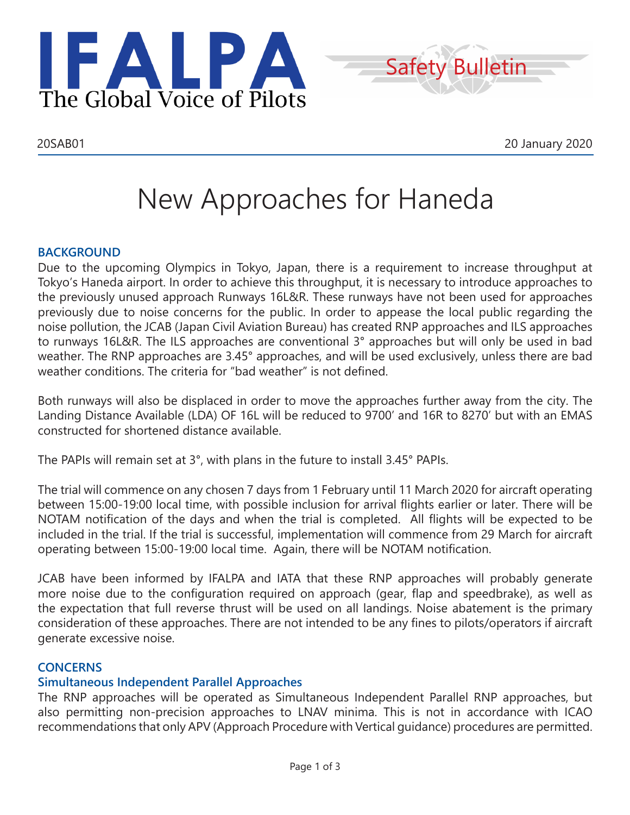



# New Approaches for Haneda

## **BACKGROUND**

Due to the upcoming Olympics in Tokyo, Japan, there is a requirement to increase throughput at Tokyo's Haneda airport. In order to achieve this throughput, it is necessary to introduce approaches to the previously unused approach Runways 16L&R. These runways have not been used for approaches previously due to noise concerns for the public. In order to appease the local public regarding the noise pollution, the JCAB (Japan Civil Aviation Bureau) has created RNP approaches and ILS approaches to runways 16L&R. The ILS approaches are conventional 3° approaches but will only be used in bad weather. The RNP approaches are 3.45° approaches, and will be used exclusively, unless there are bad weather conditions. The criteria for "bad weather" is not defined.

Both runways will also be displaced in order to move the approaches further away from the city. The Landing Distance Available (LDA) OF 16L will be reduced to 9700' and 16R to 8270' but with an EMAS constructed for shortened distance available.

The PAPIs will remain set at 3°, with plans in the future to install 3.45° PAPIs.

The trial will commence on any chosen 7 days from 1 February until 11 March 2020 for aircraft operating between 15:00-19:00 local time, with possible inclusion for arrival flights earlier or later. There will be NOTAM notification of the days and when the trial is completed. All flights will be expected to be included in the trial. If the trial is successful, implementation will commence from 29 March for aircraft operating between 15:00-19:00 local time. Again, there will be NOTAM notification.

JCAB have been informed by IFALPA and IATA that these RNP approaches will probably generate more noise due to the configuration required on approach (gear, flap and speedbrake), as well as the expectation that full reverse thrust will be used on all landings. Noise abatement is the primary consideration of these approaches. There are not intended to be any fines to pilots/operators if aircraft generate excessive noise.

# **CONCERNS**

## **Simultaneous Independent Parallel Approaches**

The RNP approaches will be operated as Simultaneous Independent Parallel RNP approaches, but also permitting non-precision approaches to LNAV minima. This is not in accordance with ICAO recommendations that only APV (Approach Procedure with Vertical guidance) procedures are permitted.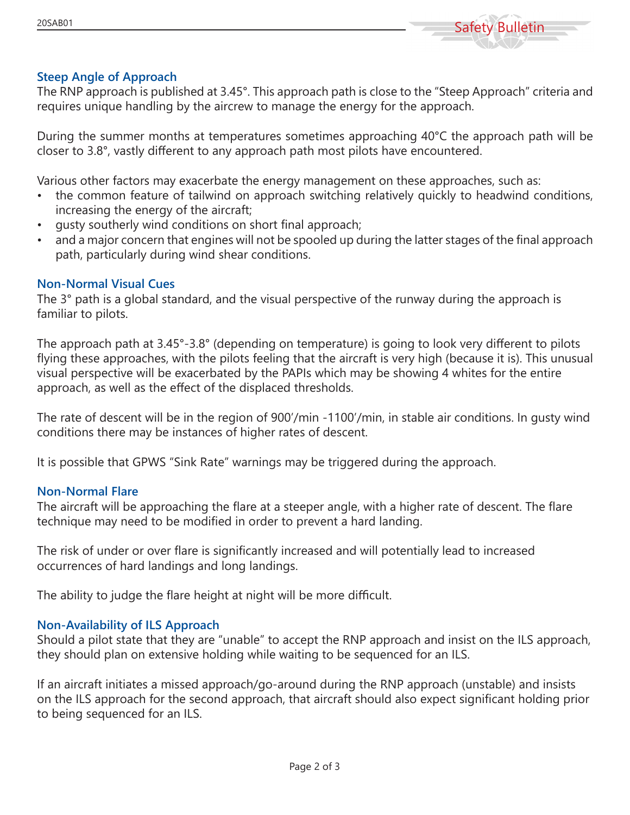

## **Steep Angle of Approach**

The RNP approach is published at 3.45°. This approach path is close to the "Steep Approach" criteria and requires unique handling by the aircrew to manage the energy for the approach.

During the summer months at temperatures sometimes approaching 40°C the approach path will be closer to 3.8°, vastly different to any approach path most pilots have encountered.

Various other factors may exacerbate the energy management on these approaches, such as:

- the common feature of tailwind on approach switching relatively quickly to headwind conditions, increasing the energy of the aircraft;
- gusty southerly wind conditions on short final approach;
- and a major concern that engines will not be spooled up during the latter stages of the final approach path, particularly during wind shear conditions.

#### **Non-Normal Visual Cues**

The 3° path is a global standard, and the visual perspective of the runway during the approach is familiar to pilots.

The approach path at 3.45°-3.8° (depending on temperature) is going to look very different to pilots flying these approaches, with the pilots feeling that the aircraft is very high (because it is). This unusual visual perspective will be exacerbated by the PAPIs which may be showing 4 whites for the entire approach, as well as the effect of the displaced thresholds.

The rate of descent will be in the region of 900'/min -1100'/min, in stable air conditions. In gusty wind conditions there may be instances of higher rates of descent.

It is possible that GPWS "Sink Rate" warnings may be triggered during the approach.

#### **Non-Normal Flare**

The aircraft will be approaching the flare at a steeper angle, with a higher rate of descent. The flare technique may need to be modified in order to prevent a hard landing.

The risk of under or over flare is significantly increased and will potentially lead to increased occurrences of hard landings and long landings.

The ability to judge the flare height at night will be more difficult.

#### **Non-Availability of ILS Approach**

Should a pilot state that they are "unable" to accept the RNP approach and insist on the ILS approach, they should plan on extensive holding while waiting to be sequenced for an ILS.

If an aircraft initiates a missed approach/go-around during the RNP approach (unstable) and insists on the ILS approach for the second approach, that aircraft should also expect significant holding prior to being sequenced for an ILS.